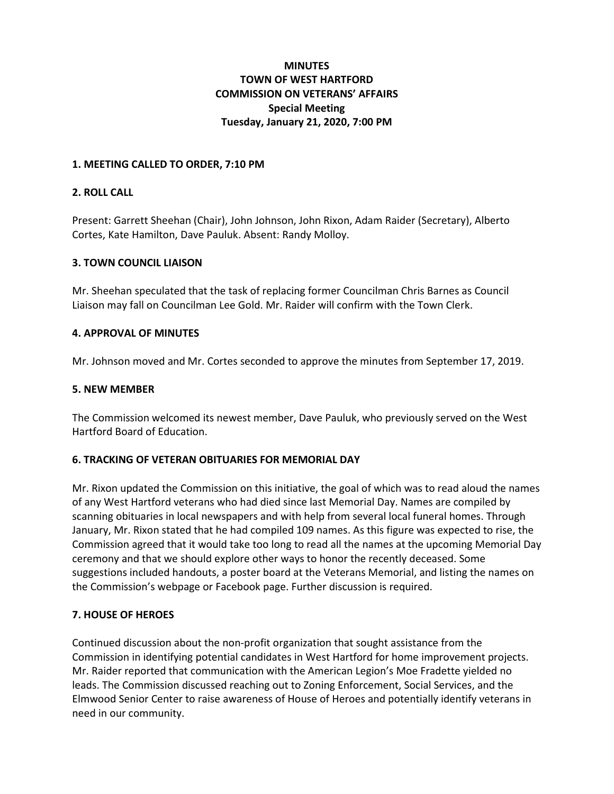# **MINUTES TOWN OF WEST HARTFORD COMMISSION ON VETERANS' AFFAIRS Special Meeting Tuesday, January 21, 2020, 7:00 PM**

#### **1. MEETING CALLED TO ORDER, 7:10 PM**

### **2. ROLL CALL**

Present: Garrett Sheehan (Chair), John Johnson, John Rixon, Adam Raider (Secretary), Alberto Cortes, Kate Hamilton, Dave Pauluk. Absent: Randy Molloy.

#### **3. TOWN COUNCIL LIAISON**

Mr. Sheehan speculated that the task of replacing former Councilman Chris Barnes as Council Liaison may fall on Councilman Lee Gold. Mr. Raider will confirm with the Town Clerk.

### **4. APPROVAL OF MINUTES**

Mr. Johnson moved and Mr. Cortes seconded to approve the minutes from September 17, 2019.

### **5. NEW MEMBER**

The Commission welcomed its newest member, Dave Pauluk, who previously served on the West Hartford Board of Education.

## **6. TRACKING OF VETERAN OBITUARIES FOR MEMORIAL DAY**

Mr. Rixon updated the Commission on this initiative, the goal of which was to read aloud the names of any West Hartford veterans who had died since last Memorial Day. Names are compiled by scanning obituaries in local newspapers and with help from several local funeral homes. Through January, Mr. Rixon stated that he had compiled 109 names. As this figure was expected to rise, the Commission agreed that it would take too long to read all the names at the upcoming Memorial Day ceremony and that we should explore other ways to honor the recently deceased. Some suggestions included handouts, a poster board at the Veterans Memorial, and listing the names on the Commission's webpage or Facebook page. Further discussion is required.

## **7. HOUSE OF HEROES**

Continued discussion about the non-profit organization that sought assistance from the Commission in identifying potential candidates in West Hartford for home improvement projects. Mr. Raider reported that communication with the American Legion's Moe Fradette yielded no leads. The Commission discussed reaching out to Zoning Enforcement, Social Services, and the Elmwood Senior Center to raise awareness of House of Heroes and potentially identify veterans in need in our community.